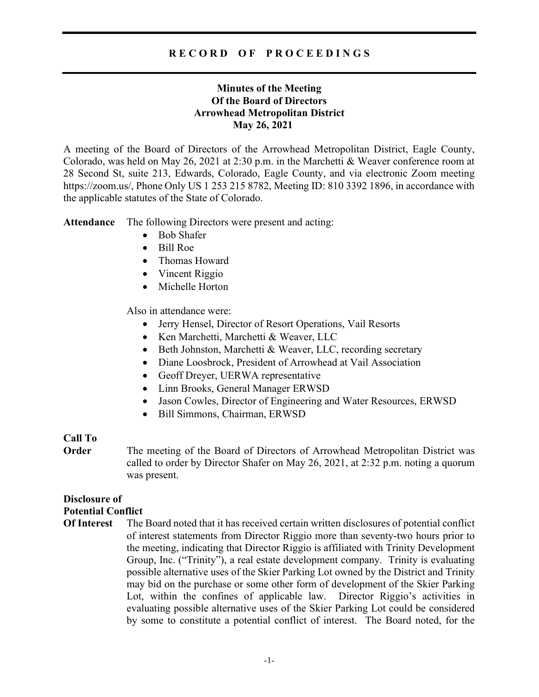## R E C O R D O F P R O C E E D I N G S

# Minutes of the Meeting Of the Board of Directors Arrowhead Metropolitan District May 26, 2021

A meeting of the Board of Directors of the Arrowhead Metropolitan District, Eagle County, Colorado, was held on May 26, 2021 at 2:30 p.m. in the Marchetti & Weaver conference room at 28 Second St, suite 213, Edwards, Colorado, Eagle County, and via electronic Zoom meeting https://zoom.us/, Phone Only US 1 253 215 8782, Meeting ID: 810 3392 1896, in accordance with the applicable statutes of the State of Colorado.

Attendance The following Directors were present and acting:

- Bob Shafer
- Bill Roe
- Thomas Howard
- Vincent Riggio
- Michelle Horton

Also in attendance were:

- Jerry Hensel, Director of Resort Operations, Vail Resorts
- Ken Marchetti, Marchetti & Weaver, LLC
- Beth Johnston, Marchetti & Weaver, LLC, recording secretary
- Diane Loosbrock, President of Arrowhead at Vail Association
- Geoff Dreyer, UERWA representative
- Linn Brooks, General Manager ERWSD
- Jason Cowles, Director of Engineering and Water Resources, ERWSD
- Bill Simmons, Chairman, ERWSD

### Call To

**Order** The meeting of the Board of Directors of Arrowhead Metropolitan District was called to order by Director Shafer on May 26, 2021, at 2:32 p.m. noting a quorum was present.

## Disclosure of

### Potential Conflict

Of Interest The Board noted that it has received certain written disclosures of potential conflict of interest statements from Director Riggio more than seventy-two hours prior to the meeting, indicating that Director Riggio is affiliated with Trinity Development Group, Inc. ("Trinity"), a real estate development company. Trinity is evaluating possible alternative uses of the Skier Parking Lot owned by the District and Trinity may bid on the purchase or some other form of development of the Skier Parking Lot, within the confines of applicable law. Director Riggio's activities in evaluating possible alternative uses of the Skier Parking Lot could be considered by some to constitute a potential conflict of interest. The Board noted, for the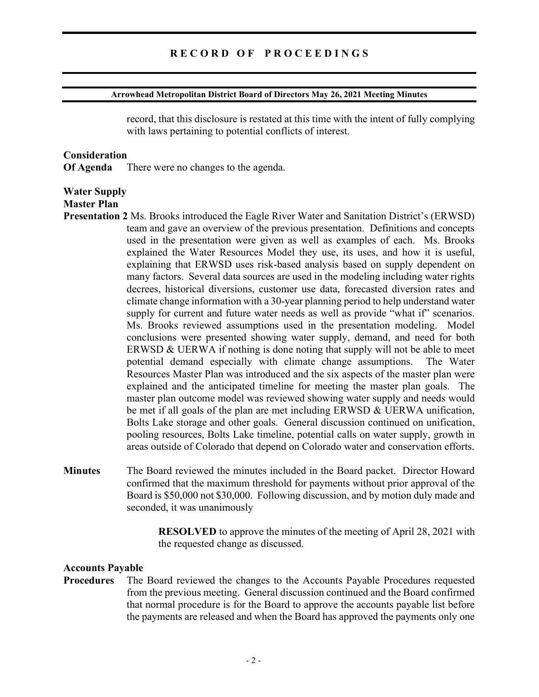#### Arrowhead Metropolitan District Board of Directors May 26, 2021 Meeting Minutes

record, that this disclosure is restated at this time with the intent of fully complying with laws pertaining to potential conflicts of interest.

#### **Consideration**

Of Agenda There were no changes to the agenda.

## Water Supply

## Master Plan

- Presentation 2 Ms. Brooks introduced the Eagle River Water and Sanitation District's (ERWSD) team and gave an overview of the previous presentation. Definitions and concepts used in the presentation were given as well as examples of each. Ms. Brooks explained the Water Resources Model they use, its uses, and how it is useful, explaining that ERWSD uses risk-based analysis based on supply dependent on many factors. Several data sources are used in the modeling including water rights decrees, historical diversions, customer use data, forecasted diversion rates and climate change information with a 30-year planning period to help understand water supply for current and future water needs as well as provide "what if" scenarios. Ms. Brooks reviewed assumptions used in the presentation modeling. Model conclusions were presented showing water supply, demand, and need for both ERWSD & UERWA if nothing is done noting that supply will not be able to meet potential demand especially with climate change assumptions. The Water Resources Master Plan was introduced and the six aspects of the master plan were explained and the anticipated timeline for meeting the master plan goals. The master plan outcome model was reviewed showing water supply and needs would be met if all goals of the plan are met including ERWSD  $\&$  UERWA unification, Bolts Lake storage and other goals. General discussion continued on unification, pooling resources, Bolts Lake timeline, potential calls on water supply, growth in areas outside of Colorado that depend on Colorado water and conservation efforts.
- Minutes The Board reviewed the minutes included in the Board packet. Director Howard confirmed that the maximum threshold for payments without prior approval of the Board is \$50,000 not \$30,000. Following discussion, and by motion duly made and seconded, it was unanimously

 RESOLVED to approve the minutes of the meeting of April 28, 2021 with the requested change as discussed.

## Accounts Payable

Procedures The Board reviewed the changes to the Accounts Payable Procedures requested from the previous meeting. General discussion continued and the Board confirmed that normal procedure is for the Board to approve the accounts payable list before the payments are released and when the Board has approved the payments only one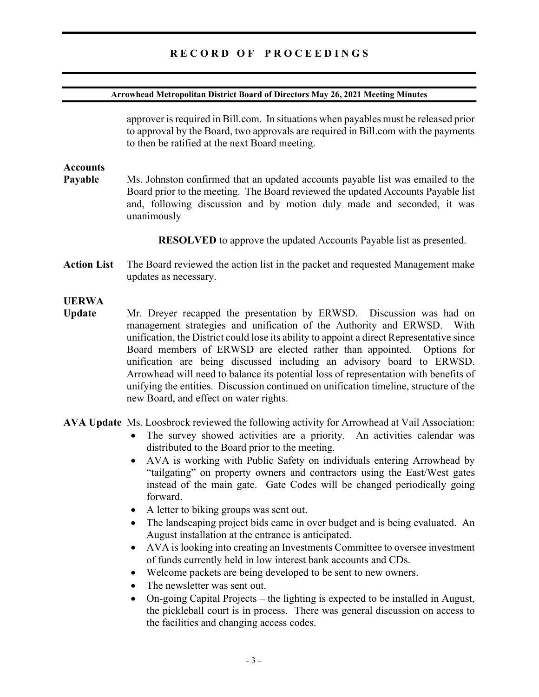# RECORD OF PROCEEDINGS

### Arrowhead Metropolitan District Board of Directors May 26, 2021 Meeting Minutes

approver is required in Bill.com. In situations when payables must be released prior to approval by the Board, two approvals are required in Bill.com with the payments to then be ratified at the next Board meeting.

## Accounts

Payable Ms. Johnston confirmed that an updated accounts payable list was emailed to the Board prior to the meeting. The Board reviewed the updated Accounts Payable list and, following discussion and by motion duly made and seconded, it was unanimously

RESOLVED to approve the updated Accounts Payable list as presented.

Action List The Board reviewed the action list in the packet and requested Management make updates as necessary.

## UERWA

- Update Mr. Dreyer recapped the presentation by ERWSD. Discussion was had on management strategies and unification of the Authority and ERWSD. With unification, the District could lose its ability to appoint a direct Representative since Board members of ERWSD are elected rather than appointed. Options for unification are being discussed including an advisory board to ERWSD. Arrowhead will need to balance its potential loss of representation with benefits of unifying the entities. Discussion continued on unification timeline, structure of the new Board, and effect on water rights.
- AVA Update Ms. Loosbrock reviewed the following activity for Arrowhead at Vail Association:
	- The survey showed activities are a priority. An activities calendar was distributed to the Board prior to the meeting.
	- AVA is working with Public Safety on individuals entering Arrowhead by "tailgating" on property owners and contractors using the East/West gates instead of the main gate. Gate Codes will be changed periodically going forward.
	- A letter to biking groups was sent out.
	- The landscaping project bids came in over budget and is being evaluated. An August installation at the entrance is anticipated.
	- AVA is looking into creating an Investments Committee to oversee investment of funds currently held in low interest bank accounts and CDs.
	- Welcome packets are being developed to be sent to new owners.
	- The newsletter was sent out.
	- On-going Capital Projects the lighting is expected to be installed in August, the pickleball court is in process. There was general discussion on access to the facilities and changing access codes.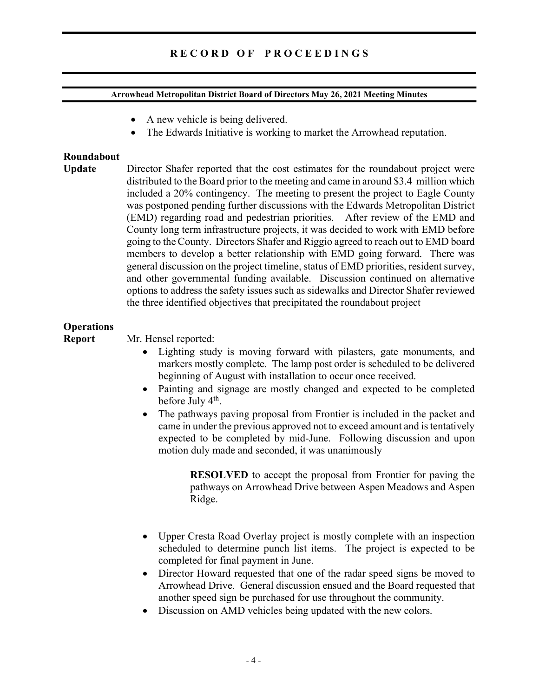# R E C O R D O F P R O C E E D I N G S

### Arrowhead Metropolitan District Board of Directors May 26, 2021 Meeting Minutes

- A new vehicle is being delivered.
- The Edwards Initiative is working to market the Arrowhead reputation.

## Roundabout

Update Director Shafer reported that the cost estimates for the roundabout project were distributed to the Board prior to the meeting and came in around \$3.4 million which included a 20% contingency. The meeting to present the project to Eagle County was postponed pending further discussions with the Edwards Metropolitan District (EMD) regarding road and pedestrian priorities. After review of the EMD and County long term infrastructure projects, it was decided to work with EMD before going to the County. Directors Shafer and Riggio agreed to reach out to EMD board members to develop a better relationship with EMD going forward. There was general discussion on the project timeline, status of EMD priorities, resident survey, and other governmental funding available. Discussion continued on alternative options to address the safety issues such as sidewalks and Director Shafer reviewed the three identified objectives that precipitated the roundabout project

# **Operations**

Report Mr. Hensel reported:

- Lighting study is moving forward with pilasters, gate monuments, and markers mostly complete. The lamp post order is scheduled to be delivered beginning of August with installation to occur once received.
- Painting and signage are mostly changed and expected to be completed before July 4<sup>th</sup>.
- The pathways paving proposal from Frontier is included in the packet and came in under the previous approved not to exceed amount and is tentatively expected to be completed by mid-June. Following discussion and upon motion duly made and seconded, it was unanimously

RESOLVED to accept the proposal from Frontier for paving the pathways on Arrowhead Drive between Aspen Meadows and Aspen Ridge.

- Upper Cresta Road Overlay project is mostly complete with an inspection scheduled to determine punch list items. The project is expected to be completed for final payment in June.
- Director Howard requested that one of the radar speed signs be moved to Arrowhead Drive. General discussion ensued and the Board requested that another speed sign be purchased for use throughout the community.
- Discussion on AMD vehicles being updated with the new colors.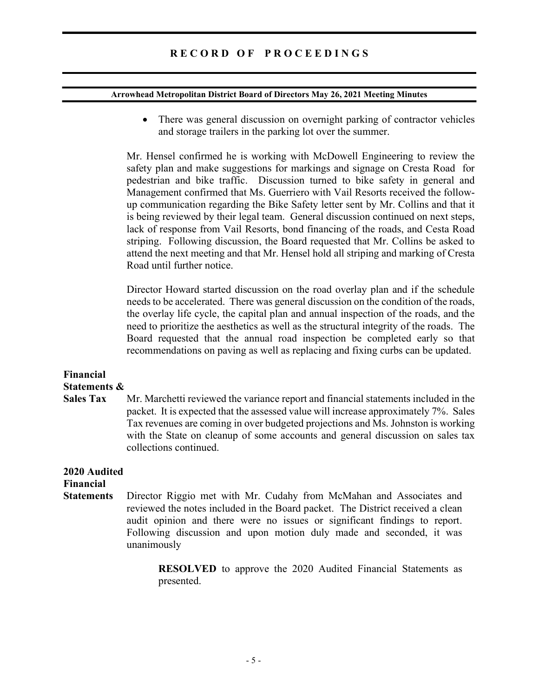# R E C O R D O F P R O C E E D I N G S

#### Arrowhead Metropolitan District Board of Directors May 26, 2021 Meeting Minutes

• There was general discussion on overnight parking of contractor vehicles and storage trailers in the parking lot over the summer.

Mr. Hensel confirmed he is working with McDowell Engineering to review the safety plan and make suggestions for markings and signage on Cresta Road for pedestrian and bike traffic. Discussion turned to bike safety in general and Management confirmed that Ms. Guerriero with Vail Resorts received the followup communication regarding the Bike Safety letter sent by Mr. Collins and that it is being reviewed by their legal team. General discussion continued on next steps, lack of response from Vail Resorts, bond financing of the roads, and Cesta Road striping. Following discussion, the Board requested that Mr. Collins be asked to attend the next meeting and that Mr. Hensel hold all striping and marking of Cresta Road until further notice.

Director Howard started discussion on the road overlay plan and if the schedule needs to be accelerated. There was general discussion on the condition of the roads, the overlay life cycle, the capital plan and annual inspection of the roads, and the need to prioritize the aesthetics as well as the structural integrity of the roads. The Board requested that the annual road inspection be completed early so that recommendations on paving as well as replacing and fixing curbs can be updated.

# Financial Statements &

Sales Tax Mr. Marchetti reviewed the variance report and financial statements included in the packet. It is expected that the assessed value will increase approximately 7%. Sales Tax revenues are coming in over budgeted projections and Ms. Johnston is working with the State on cleanup of some accounts and general discussion on sales tax collections continued.

#### 2020 Audited Financial

Statements Director Riggio met with Mr. Cudahy from McMahan and Associates and reviewed the notes included in the Board packet. The District received a clean audit opinion and there were no issues or significant findings to report. Following discussion and upon motion duly made and seconded, it was unanimously

> RESOLVED to approve the 2020 Audited Financial Statements as presented.